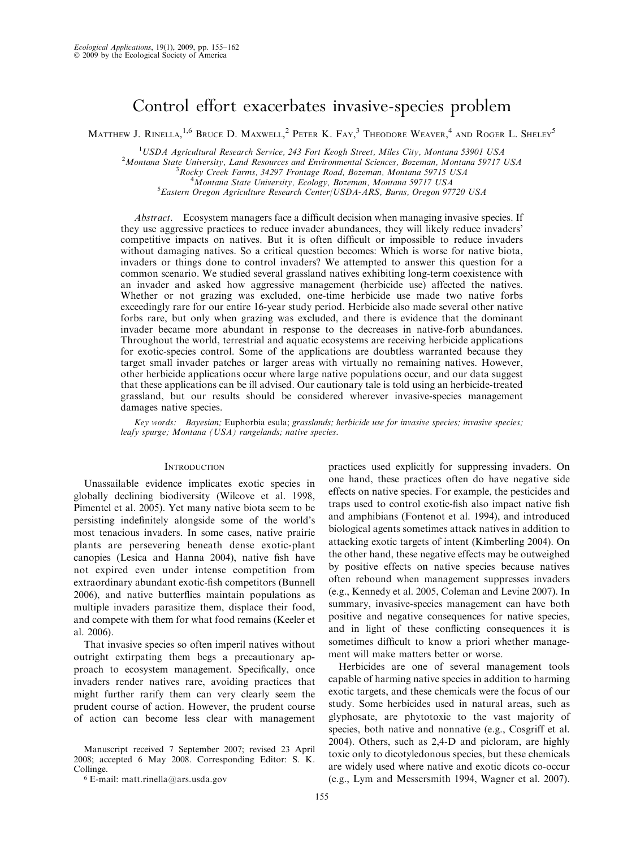# Control effort exacerbates invasive-species problem

MATTHEW J. RINELLA,  $^{1,6}$  Bruce D. Maxwell,  $^2$  Peter K. Fay,  $^3$  Theodore Weaver,  $^4$  and Roger L. Sheley  $^5$ 

<sup>1</sup>USDA Agricultural Research Service, 243 Fort Keogh Street, Miles City, Montana 53901 USA<br><sup>2</sup>Montana State University, Land Resources and Environmental Sciences, Bozanan, Montana 50717

 $^2$ Montana State University, Land Resources and Environmental Sciences, Bozeman, Montana 59717 USA

 $R^{3}$ Rocky Creek Farms, 34297 Frontage Road, Bozeman, Montana 59715 USA

 $^4$ Montana State University, Ecology, Bozeman, Montana 59717 USA

Eastern Oregon Agriculture Research Center/USDA-ARS, Burns, Oregon 97720 USA

Abstract. Ecosystem managers face a difficult decision when managing invasive species. If they use aggressive practices to reduce invader abundances, they will likely reduce invaders' competitive impacts on natives. But it is often difficult or impossible to reduce invaders without damaging natives. So a critical question becomes: Which is worse for native biota, invaders or things done to control invaders? We attempted to answer this question for a common scenario. We studied several grassland natives exhibiting long-term coexistence with an invader and asked how aggressive management (herbicide use) affected the natives. Whether or not grazing was excluded, one-time herbicide use made two native forbs exceedingly rare for our entire 16-year study period. Herbicide also made several other native forbs rare, but only when grazing was excluded, and there is evidence that the dominant invader became more abundant in response to the decreases in native-forb abundances. Throughout the world, terrestrial and aquatic ecosystems are receiving herbicide applications for exotic-species control. Some of the applications are doubtless warranted because they target small invader patches or larger areas with virtually no remaining natives. However, other herbicide applications occur where large native populations occur, and our data suggest that these applications can be ill advised. Our cautionary tale is told using an herbicide-treated grassland, but our results should be considered wherever invasive-species management damages native species.

Key words: Bayesian; Euphorbia esula; grasslands; herbicide use for invasive species; invasive species; leafy spurge; Montana (USA) rangelands; native species.

#### **INTRODUCTION**

Unassailable evidence implicates exotic species in globally declining biodiversity (Wilcove et al. 1998, Pimentel et al. 2005). Yet many native biota seem to be persisting indefinitely alongside some of the world's most tenacious invaders. In some cases, native prairie plants are persevering beneath dense exotic-plant canopies (Lesica and Hanna 2004), native fish have not expired even under intense competition from extraordinary abundant exotic-fish competitors (Bunnell 2006), and native butterflies maintain populations as multiple invaders parasitize them, displace their food, and compete with them for what food remains (Keeler et al. 2006).

That invasive species so often imperil natives without outright extirpating them begs a precautionary approach to ecosystem management. Specifically, once invaders render natives rare, avoiding practices that might further rarify them can very clearly seem the prudent course of action. However, the prudent course of action can become less clear with management

Manuscript received 7 September 2007; revised 23 April 2008; accepted 6 May 2008. Corresponding Editor: S. K. Collinge.

 $6$  E-mail: matt.rinella@ars.usda.gov

practices used explicitly for suppressing invaders. On one hand, these practices often do have negative side effects on native species. For example, the pesticides and traps used to control exotic-fish also impact native fish and amphibians (Fontenot et al. 1994), and introduced biological agents sometimes attack natives in addition to attacking exotic targets of intent (Kimberling 2004). On the other hand, these negative effects may be outweighed by positive effects on native species because natives often rebound when management suppresses invaders (e.g., Kennedy et al. 2005, Coleman and Levine 2007). In summary, invasive-species management can have both positive and negative consequences for native species, and in light of these conflicting consequences it is sometimes difficult to know a priori whether management will make matters better or worse.

Herbicides are one of several management tools capable of harming native species in addition to harming exotic targets, and these chemicals were the focus of our study. Some herbicides used in natural areas, such as glyphosate, are phytotoxic to the vast majority of species, both native and nonnative (e.g., Cosgriff et al. 2004). Others, such as 2,4-D and picloram, are highly toxic only to dicotyledonous species, but these chemicals are widely used where native and exotic dicots co-occur (e.g., Lym and Messersmith 1994, Wagner et al. 2007).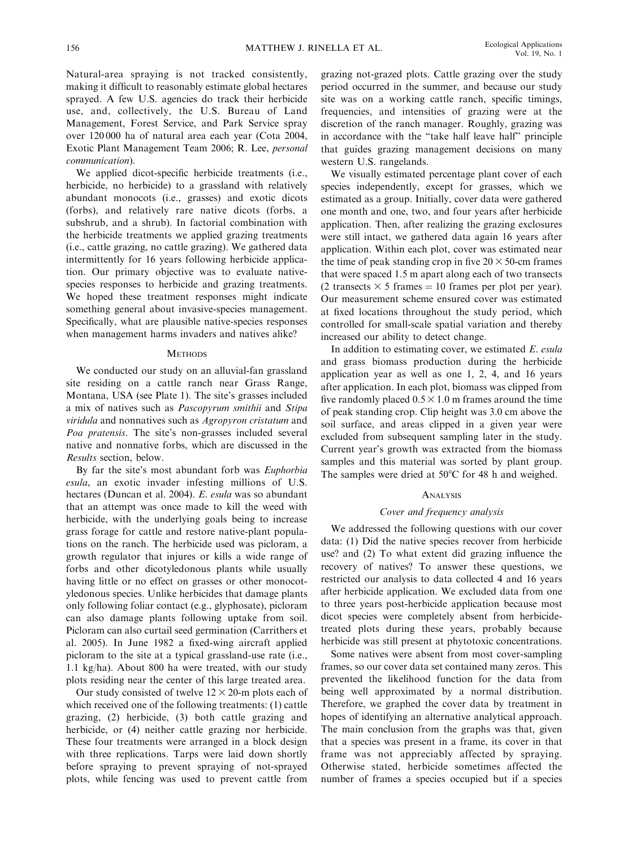Natural-area spraying is not tracked consistently, making it difficult to reasonably estimate global hectares sprayed. A few U.S. agencies do track their herbicide use, and, collectively, the U.S. Bureau of Land Management, Forest Service, and Park Service spray over 120 000 ha of natural area each year (Cota 2004, Exotic Plant Management Team 2006; R. Lee, personal communication).

We applied dicot-specific herbicide treatments (i.e., herbicide, no herbicide) to a grassland with relatively abundant monocots (i.e., grasses) and exotic dicots (forbs), and relatively rare native dicots (forbs, a subshrub, and a shrub). In factorial combination with the herbicide treatments we applied grazing treatments (i.e., cattle grazing, no cattle grazing). We gathered data intermittently for 16 years following herbicide application. Our primary objective was to evaluate nativespecies responses to herbicide and grazing treatments. We hoped these treatment responses might indicate something general about invasive-species management. Specifically, what are plausible native-species responses when management harms invaders and natives alike?

#### **METHODS**

We conducted our study on an alluvial-fan grassland site residing on a cattle ranch near Grass Range, Montana, USA (see Plate 1). The site's grasses included a mix of natives such as Pascopyrum smithii and Stipa viridula and nonnatives such as Agropyron cristatum and Poa pratensis. The site's non-grasses included several native and nonnative forbs, which are discussed in the Results section, below.

By far the site's most abundant forb was Euphorbia esula, an exotic invader infesting millions of U.S. hectares (Duncan et al. 2004). E. esula was so abundant that an attempt was once made to kill the weed with herbicide, with the underlying goals being to increase grass forage for cattle and restore native-plant populations on the ranch. The herbicide used was picloram, a growth regulator that injures or kills a wide range of forbs and other dicotyledonous plants while usually having little or no effect on grasses or other monocotyledonous species. Unlike herbicides that damage plants only following foliar contact (e.g., glyphosate), picloram can also damage plants following uptake from soil. Picloram can also curtail seed germination (Carrithers et al. 2005). In June 1982 a fixed-wing aircraft applied picloram to the site at a typical grassland-use rate (i.e., 1.1 kg/ha). About 800 ha were treated, with our study plots residing near the center of this large treated area.

Our study consisted of twelve  $12 \times 20$ -m plots each of which received one of the following treatments: (1) cattle grazing, (2) herbicide, (3) both cattle grazing and herbicide, or (4) neither cattle grazing nor herbicide. These four treatments were arranged in a block design with three replications. Tarps were laid down shortly before spraying to prevent spraying of not-sprayed plots, while fencing was used to prevent cattle from

grazing not-grazed plots. Cattle grazing over the study period occurred in the summer, and because our study site was on a working cattle ranch, specific timings, frequencies, and intensities of grazing were at the discretion of the ranch manager. Roughly, grazing was in accordance with the ''take half leave half'' principle that guides grazing management decisions on many western U.S. rangelands.

We visually estimated percentage plant cover of each species independently, except for grasses, which we estimated as a group. Initially, cover data were gathered one month and one, two, and four years after herbicide application. Then, after realizing the grazing exclosures were still intact, we gathered data again 16 years after application. Within each plot, cover was estimated near the time of peak standing crop in five  $20 \times 50$ -cm frames that were spaced 1.5 m apart along each of two transects (2 transects  $\times$  5 frames = 10 frames per plot per year). Our measurement scheme ensured cover was estimated at fixed locations throughout the study period, which controlled for small-scale spatial variation and thereby increased our ability to detect change.

In addition to estimating cover, we estimated E. esula and grass biomass production during the herbicide application year as well as one 1, 2, 4, and 16 years after application. In each plot, biomass was clipped from five randomly placed  $0.5 \times 1.0$  m frames around the time of peak standing crop. Clip height was 3.0 cm above the soil surface, and areas clipped in a given year were excluded from subsequent sampling later in the study. Current year's growth was extracted from the biomass samples and this material was sorted by plant group. The samples were dried at  $50^{\circ}$ C for 48 h and weighed.

## **ANALYSIS**

### Cover and frequency analysis

We addressed the following questions with our cover data: (1) Did the native species recover from herbicide use? and (2) To what extent did grazing influence the recovery of natives? To answer these questions, we restricted our analysis to data collected 4 and 16 years after herbicide application. We excluded data from one to three years post-herbicide application because most dicot species were completely absent from herbicidetreated plots during these years, probably because herbicide was still present at phytotoxic concentrations.

Some natives were absent from most cover-sampling frames, so our cover data set contained many zeros. This prevented the likelihood function for the data from being well approximated by a normal distribution. Therefore, we graphed the cover data by treatment in hopes of identifying an alternative analytical approach. The main conclusion from the graphs was that, given that a species was present in a frame, its cover in that frame was not appreciably affected by spraying. Otherwise stated, herbicide sometimes affected the number of frames a species occupied but if a species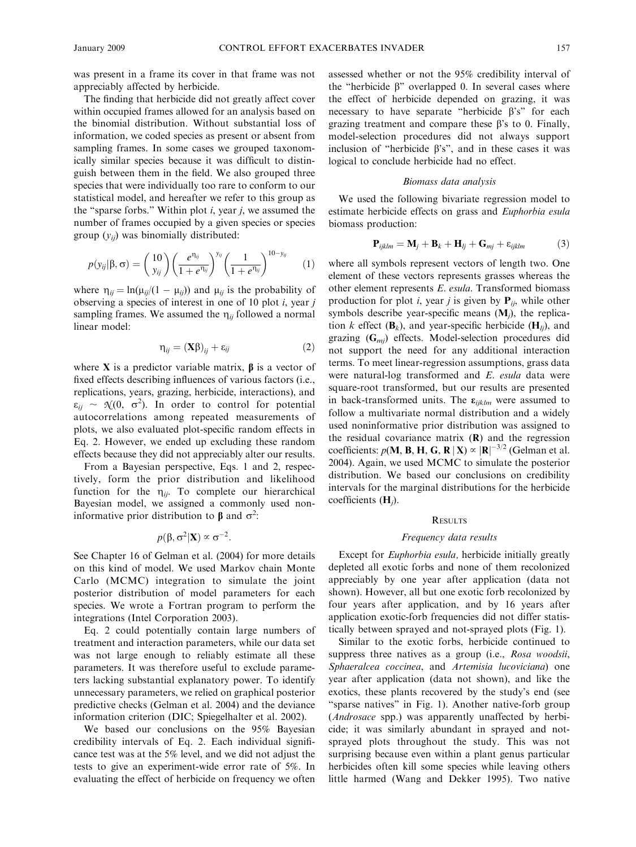was present in a frame its cover in that frame was not appreciably affected by herbicide.

The finding that herbicide did not greatly affect cover within occupied frames allowed for an analysis based on the binomial distribution. Without substantial loss of information, we coded species as present or absent from sampling frames. In some cases we grouped taxonomically similar species because it was difficult to distinguish between them in the field. We also grouped three species that were individually too rare to conform to our statistical model, and hereafter we refer to this group as the "sparse forbs." Within plot  $i$ , year  $j$ , we assumed the number of frames occupied by a given species or species group  $(y_{ij})$  was binomially distributed:

$$
p(y_{ij}|\beta,\sigma) = {10 \choose y_{ij}} \left(\frac{e^{\eta_{ij}}}{1+e^{\eta_{ij}}}\right)^{y_{ij}} \left(\frac{1}{1+e^{\eta_{ij}}}\right)^{10-y_{ij}} \qquad (1)
$$

where  $\eta_{ij} = \ln(\mu_{ij}/(1 - \mu_{ij}))$  and  $\mu_{ij}$  is the probability of observing a species of interest in one of 10 plot  $i$ , year  $j$ sampling frames. We assumed the  $\eta_{ii}$  followed a normal linear model:

$$
\eta_{ij} = (\mathbf{X}\boldsymbol{\beta})_{ij} + \varepsilon_{ij} \tag{2}
$$

where  $X$  is a predictor variable matrix,  $\beta$  is a vector of fixed effects describing influences of various factors (i.e., replications, years, grazing, herbicide, interactions), and  $\varepsilon_{ij} \sim \mathcal{N}(0, \sigma^2)$ . In order to control for potential autocorrelations among repeated measurements of plots, we also evaluated plot-specific random effects in Eq. 2. However, we ended up excluding these random effects because they did not appreciably alter our results.

From a Bayesian perspective, Eqs. 1 and 2, respectively, form the prior distribution and likelihood function for the  $\eta_{ij}$ . To complete our hierarchical Bayesian model, we assigned a commonly used noninformative prior distribution to  $\beta$  and  $\sigma^2$ .

$$
p(\beta, \sigma^2 | \mathbf{X}) \propto \sigma^{-2}
$$
.

See Chapter 16 of Gelman et al. (2004) for more details on this kind of model. We used Markov chain Monte Carlo (MCMC) integration to simulate the joint posterior distribution of model parameters for each species. We wrote a Fortran program to perform the integrations (Intel Corporation 2003).

Eq. 2 could potentially contain large numbers of treatment and interaction parameters, while our data set was not large enough to reliably estimate all these parameters. It was therefore useful to exclude parameters lacking substantial explanatory power. To identify unnecessary parameters, we relied on graphical posterior predictive checks (Gelman et al. 2004) and the deviance information criterion (DIC; Spiegelhalter et al. 2002).

We based our conclusions on the 95% Bayesian credibility intervals of Eq. 2. Each individual significance test was at the 5% level, and we did not adjust the tests to give an experiment-wide error rate of 5%. In evaluating the effect of herbicide on frequency we often

assessed whether or not the 95% credibility interval of the "herbicide  $\beta$ " overlapped 0. In several cases where the effect of herbicide depended on grazing, it was necessary to have separate "herbicide  $\beta$ 's" for each grazing treatment and compare these  $\beta$ 's to 0. Finally, model-selection procedures did not always support inclusion of "herbicide  $\beta$ 's", and in these cases it was logical to conclude herbicide had no effect.

# Biomass data analysis

We used the following bivariate regression model to estimate herbicide effects on grass and Euphorbia esula biomass production:

$$
\mathbf{P}_{ijklm} = \mathbf{M}_j + \mathbf{B}_k + \mathbf{H}_{lj} + \mathbf{G}_{mj} + \varepsilon_{ijklm} \tag{3}
$$

where all symbols represent vectors of length two. One element of these vectors represents grasses whereas the other element represents E. esula. Transformed biomass production for plot *i*, year *j* is given by  $P_{ij}$ , while other symbols describe year-specific means  $(M_i)$ , the replication k effect  $(\mathbf{B}_k)$ , and year-specific herbicide  $(\mathbf{H}_{li})$ , and grazing  $(G_{mi})$  effects. Model-selection procedures did not support the need for any additional interaction terms. To meet linear-regression assumptions, grass data were natural-log transformed and E. esula data were square-root transformed, but our results are presented in back-transformed units. The  $\varepsilon_{iiklm}$  were assumed to follow a multivariate normal distribution and a widely used noninformative prior distribution was assigned to the residual covariance matrix  $(R)$  and the regression coefficients:  $p(M, B, H, G, R | X) \propto |R|^{-3/2}$  (Gelman et al. 2004). Again, we used MCMC to simulate the posterior distribution. We based our conclusions on credibility intervals for the marginal distributions for the herbicide coefficients  $(H_i)$ .

#### **RESULTS**

#### Frequency data results

Except for Euphorbia esula, herbicide initially greatly depleted all exotic forbs and none of them recolonized appreciably by one year after application (data not shown). However, all but one exotic forb recolonized by four years after application, and by 16 years after application exotic-forb frequencies did not differ statistically between sprayed and not-sprayed plots (Fig. 1).

Similar to the exotic forbs, herbicide continued to suppress three natives as a group (i.e., Rosa woodsii, Sphaeralcea coccinea, and Artemisia lucoviciana) one year after application (data not shown), and like the exotics, these plants recovered by the study's end (see "sparse natives" in Fig. 1). Another native-forb group (Androsace spp.) was apparently unaffected by herbicide; it was similarly abundant in sprayed and notsprayed plots throughout the study. This was not surprising because even within a plant genus particular herbicides often kill some species while leaving others little harmed (Wang and Dekker 1995). Two native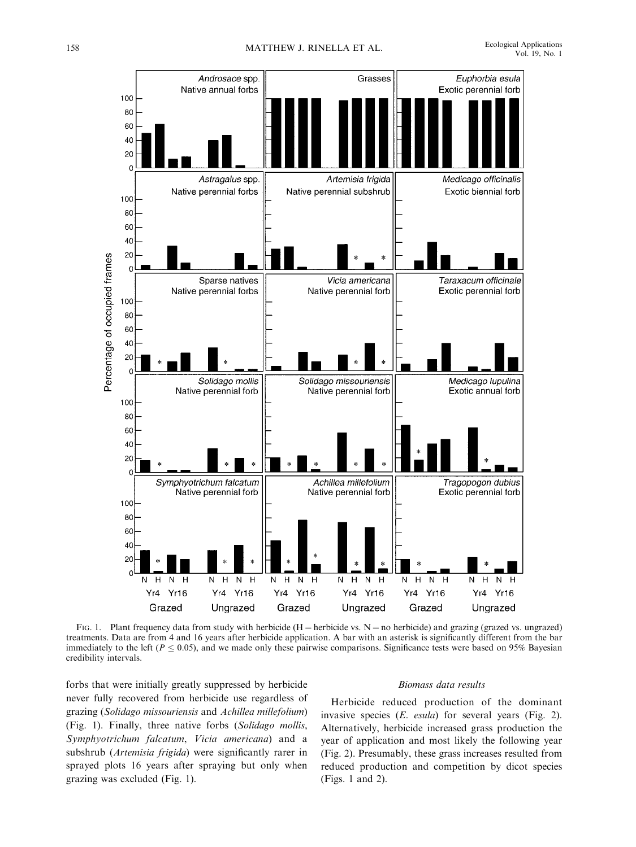

FIG. 1. Plant frequency data from study with herbicide  $(H = herbicide vs. N = no herbicide)$  and grazing (grazed vs. ungrazed) treatments. Data are from 4 and 16 years after herbicide application. A bar with an asterisk is significantly different from the bar immediately to the left ( $P \le 0.05$ ), and we made only these pairwise comparisons. Significance tests were based on 95% Bayesian credibility intervals.

forbs that were initially greatly suppressed by herbicide never fully recovered from herbicide use regardless of grazing (Solidago missouriensis and Achillea millefolium) (Fig. 1). Finally, three native forbs (Solidago mollis, Symphyotrichum falcatum, Vicia americana) and a subshrub (Artemisia frigida) were significantly rarer in sprayed plots 16 years after spraying but only when grazing was excluded (Fig. 1).

#### Biomass data results

Herbicide reduced production of the dominant invasive species (E. esula) for several years (Fig. 2). Alternatively, herbicide increased grass production the year of application and most likely the following year (Fig. 2). Presumably, these grass increases resulted from reduced production and competition by dicot species (Figs. 1 and 2).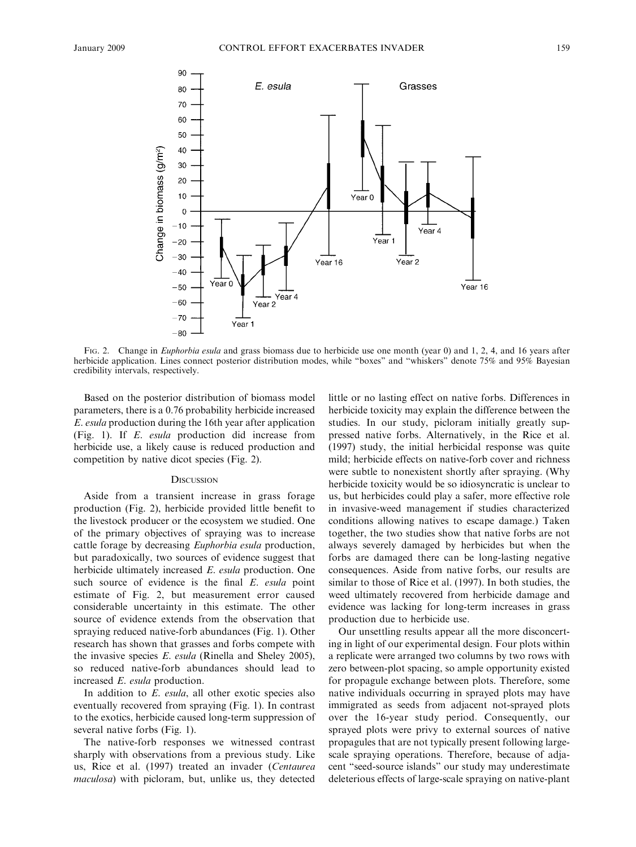

FIG. 2. Change in *Euphorbia esula* and grass biomass due to herbicide use one month (year 0) and 1, 2, 4, and 16 years after herbicide application. Lines connect posterior distribution modes, while "boxes" and "whiskers" denote 75% and 95% Bayesian credibility intervals, respectively.

Based on the posterior distribution of biomass model parameters, there is a 0.76 probability herbicide increased E. esula production during the 16th year after application (Fig. 1). If E. esula production did increase from herbicide use, a likely cause is reduced production and competition by native dicot species (Fig. 2).

#### **DISCUSSION**

Aside from a transient increase in grass forage production (Fig. 2), herbicide provided little benefit to the livestock producer or the ecosystem we studied. One of the primary objectives of spraying was to increase cattle forage by decreasing Euphorbia esula production, but paradoxically, two sources of evidence suggest that herbicide ultimately increased E. esula production. One such source of evidence is the final E. esula point estimate of Fig. 2, but measurement error caused considerable uncertainty in this estimate. The other source of evidence extends from the observation that spraying reduced native-forb abundances (Fig. 1). Other research has shown that grasses and forbs compete with the invasive species E. esula (Rinella and Sheley 2005), so reduced native-forb abundances should lead to increased E. esula production.

In addition to E. esula, all other exotic species also eventually recovered from spraying (Fig. 1). In contrast to the exotics, herbicide caused long-term suppression of several native forbs (Fig. 1).

The native-forb responses we witnessed contrast sharply with observations from a previous study. Like us, Rice et al. (1997) treated an invader (Centaurea maculosa) with picloram, but, unlike us, they detected

little or no lasting effect on native forbs. Differences in herbicide toxicity may explain the difference between the studies. In our study, picloram initially greatly suppressed native forbs. Alternatively, in the Rice et al. (1997) study, the initial herbicidal response was quite mild; herbicide effects on native-forb cover and richness were subtle to nonexistent shortly after spraying. (Why herbicide toxicity would be so idiosyncratic is unclear to us, but herbicides could play a safer, more effective role in invasive-weed management if studies characterized conditions allowing natives to escape damage.) Taken together, the two studies show that native forbs are not always severely damaged by herbicides but when the forbs are damaged there can be long-lasting negative consequences. Aside from native forbs, our results are similar to those of Rice et al. (1997). In both studies, the weed ultimately recovered from herbicide damage and evidence was lacking for long-term increases in grass production due to herbicide use.

Our unsettling results appear all the more disconcerting in light of our experimental design. Four plots within a replicate were arranged two columns by two rows with zero between-plot spacing, so ample opportunity existed for propagule exchange between plots. Therefore, some native individuals occurring in sprayed plots may have immigrated as seeds from adjacent not-sprayed plots over the 16-year study period. Consequently, our sprayed plots were privy to external sources of native propagules that are not typically present following largescale spraying operations. Therefore, because of adjacent ''seed-source islands'' our study may underestimate deleterious effects of large-scale spraying on native-plant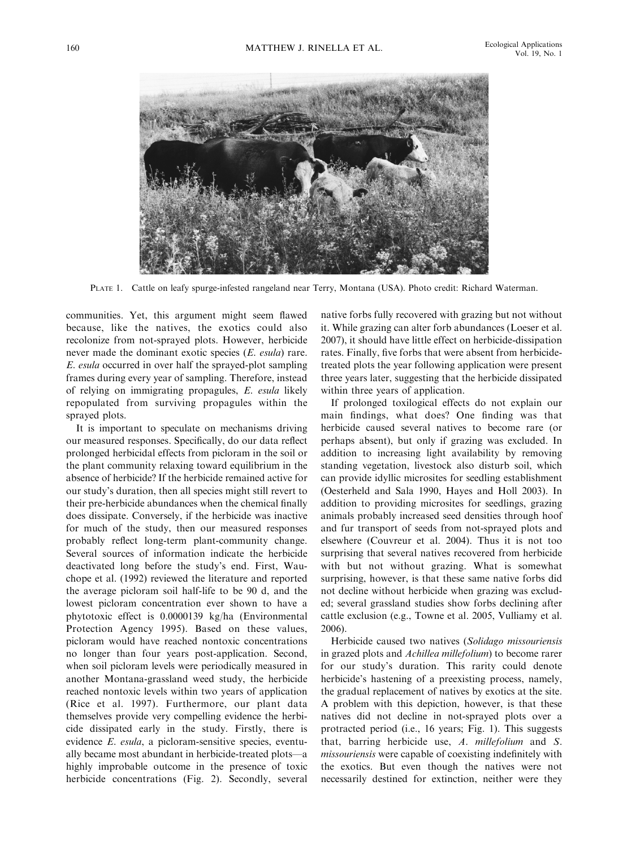

PLATE 1. Cattle on leafy spurge-infested rangeland near Terry, Montana (USA). Photo credit: Richard Waterman.

communities. Yet, this argument might seem flawed because, like the natives, the exotics could also recolonize from not-sprayed plots. However, herbicide never made the dominant exotic species (E. esula) rare. E. esula occurred in over half the sprayed-plot sampling frames during every year of sampling. Therefore, instead of relying on immigrating propagules, E. esula likely repopulated from surviving propagules within the sprayed plots.

It is important to speculate on mechanisms driving our measured responses. Specifically, do our data reflect prolonged herbicidal effects from picloram in the soil or the plant community relaxing toward equilibrium in the absence of herbicide? If the herbicide remained active for our study's duration, then all species might still revert to their pre-herbicide abundances when the chemical finally does dissipate. Conversely, if the herbicide was inactive for much of the study, then our measured responses probably reflect long-term plant-community change. Several sources of information indicate the herbicide deactivated long before the study's end. First, Wauchope et al. (1992) reviewed the literature and reported the average picloram soil half-life to be 90 d, and the lowest picloram concentration ever shown to have a phytotoxic effect is 0.0000139 kg/ha (Environmental Protection Agency 1995). Based on these values, picloram would have reached nontoxic concentrations no longer than four years post-application. Second, when soil picloram levels were periodically measured in another Montana-grassland weed study, the herbicide reached nontoxic levels within two years of application (Rice et al. 1997). Furthermore, our plant data themselves provide very compelling evidence the herbicide dissipated early in the study. Firstly, there is evidence E. esula, a picloram-sensitive species, eventually became most abundant in herbicide-treated plots—a highly improbable outcome in the presence of toxic herbicide concentrations (Fig. 2). Secondly, several native forbs fully recovered with grazing but not without it. While grazing can alter forb abundances (Loeser et al. 2007), it should have little effect on herbicide-dissipation rates. Finally, five forbs that were absent from herbicidetreated plots the year following application were present three years later, suggesting that the herbicide dissipated within three years of application.

If prolonged toxilogical effects do not explain our main findings, what does? One finding was that herbicide caused several natives to become rare (or perhaps absent), but only if grazing was excluded. In addition to increasing light availability by removing standing vegetation, livestock also disturb soil, which can provide idyllic microsites for seedling establishment (Oesterheld and Sala 1990, Hayes and Holl 2003). In addition to providing microsites for seedlings, grazing animals probably increased seed densities through hoof and fur transport of seeds from not-sprayed plots and elsewhere (Couvreur et al. 2004). Thus it is not too surprising that several natives recovered from herbicide with but not without grazing. What is somewhat surprising, however, is that these same native forbs did not decline without herbicide when grazing was excluded; several grassland studies show forbs declining after cattle exclusion (e.g., Towne et al. 2005, Vulliamy et al. 2006).

Herbicide caused two natives (Solidago missouriensis in grazed plots and Achillea millefolium) to become rarer for our study's duration. This rarity could denote herbicide's hastening of a preexisting process, namely, the gradual replacement of natives by exotics at the site. A problem with this depiction, however, is that these natives did not decline in not-sprayed plots over a protracted period (i.e., 16 years; Fig. 1). This suggests that, barring herbicide use, A. millefolium and S. missouriensis were capable of coexisting indefinitely with the exotics. But even though the natives were not necessarily destined for extinction, neither were they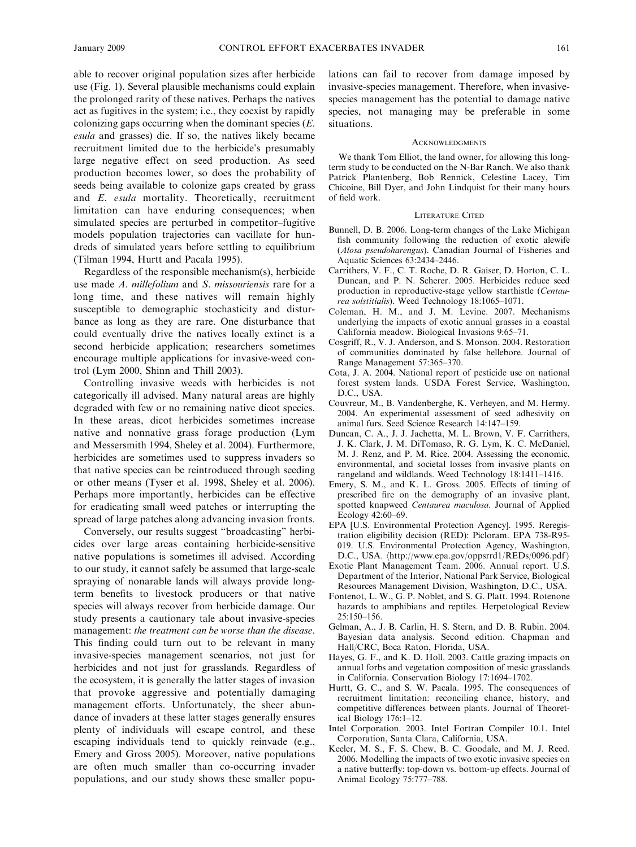able to recover original population sizes after herbicide use (Fig. 1). Several plausible mechanisms could explain the prolonged rarity of these natives. Perhaps the natives act as fugitives in the system; i.e., they coexist by rapidly colonizing gaps occurring when the dominant species  $(E$ . esula and grasses) die. If so, the natives likely became recruitment limited due to the herbicide's presumably large negative effect on seed production. As seed production becomes lower, so does the probability of seeds being available to colonize gaps created by grass and E. esula mortality. Theoretically, recruitment limitation can have enduring consequences; when simulated species are perturbed in competitor–fugitive models population trajectories can vacillate for hundreds of simulated years before settling to equilibrium (Tilman 1994, Hurtt and Pacala 1995).

Regardless of the responsible mechanism(s), herbicide use made A. millefolium and S. missouriensis rare for a long time, and these natives will remain highly susceptible to demographic stochasticity and disturbance as long as they are rare. One disturbance that could eventually drive the natives locally extinct is a second herbicide application; researchers sometimes encourage multiple applications for invasive-weed control (Lym 2000, Shinn and Thill 2003).

Controlling invasive weeds with herbicides is not categorically ill advised. Many natural areas are highly degraded with few or no remaining native dicot species. In these areas, dicot herbicides sometimes increase native and nonnative grass forage production (Lym and Messersmith 1994, Sheley et al. 2004). Furthermore, herbicides are sometimes used to suppress invaders so that native species can be reintroduced through seeding or other means (Tyser et al. 1998, Sheley et al. 2006). Perhaps more importantly, herbicides can be effective for eradicating small weed patches or interrupting the spread of large patches along advancing invasion fronts.

Conversely, our results suggest ''broadcasting'' herbicides over large areas containing herbicide-sensitive native populations is sometimes ill advised. According to our study, it cannot safely be assumed that large-scale spraying of nonarable lands will always provide longterm benefits to livestock producers or that native species will always recover from herbicide damage. Our study presents a cautionary tale about invasive-species management: the treatment can be worse than the disease. This finding could turn out to be relevant in many invasive-species management scenarios, not just for herbicides and not just for grasslands. Regardless of the ecosystem, it is generally the latter stages of invasion that provoke aggressive and potentially damaging management efforts. Unfortunately, the sheer abundance of invaders at these latter stages generally ensures plenty of individuals will escape control, and these escaping individuals tend to quickly reinvade (e.g., Emery and Gross 2005). Moreover, native populations are often much smaller than co-occurring invader populations, and our study shows these smaller populations can fail to recover from damage imposed by invasive-species management. Therefore, when invasivespecies management has the potential to damage native species, not managing may be preferable in some situations.

#### ACKNOWLEDGMENTS

We thank Tom Elliot, the land owner, for allowing this longterm study to be conducted on the N-Bar Ranch. We also thank Patrick Plantenberg, Bob Rennick, Celestine Lacey, Tim Chicoine, Bill Dyer, and John Lindquist for their many hours of field work.

#### LITERATURE CITED

- Bunnell, D. B. 2006. Long-term changes of the Lake Michigan fish community following the reduction of exotic alewife (Alosa pseudoharengus). Canadian Journal of Fisheries and Aquatic Sciences 63:2434–2446.
- Carrithers, V. F., C. T. Roche, D. R. Gaiser, D. Horton, C. L. Duncan, and P. N. Scherer. 2005. Herbicides reduce seed production in reproductive-stage yellow starthistle (Centaurea solstitialis). Weed Technology 18:1065–1071.
- Coleman, H. M., and J. M. Levine. 2007. Mechanisms underlying the impacts of exotic annual grasses in a coastal California meadow. Biological Invasions 9:65–71.
- Cosgriff, R., V. J. Anderson, and S. Monson. 2004. Restoration of communities dominated by false hellebore. Journal of Range Management 57:365–370.
- Cota, J. A. 2004. National report of pesticide use on national forest system lands. USDA Forest Service, Washington, D.C., USA.
- Couvreur, M., B. Vandenberghe, K. Verheyen, and M. Hermy. 2004. An experimental assessment of seed adhesivity on animal furs. Seed Science Research 14:147–159.
- Duncan, C. A., J. J. Jachetta, M. L. Brown, V. F. Carrithers, J. K. Clark, J. M. DiTomaso, R. G. Lym, K. C. McDaniel, M. J. Renz, and P. M. Rice. 2004. Assessing the economic, environmental, and societal losses from invasive plants on rangeland and wildlands. Weed Technology 18:1411–1416.
- Emery, S. M., and K. L. Gross. 2005. Effects of timing of prescribed fire on the demography of an invasive plant, spotted knapweed Centaurea maculosa. Journal of Applied Ecology 42:60–69.
- EPA [U.S. Environmental Protection Agency]. 1995. Reregistration eligibility decision (RED): Picloram. EPA 738-R95- 019. U.S. Environmental Protection Agency, Washington, D.C., USA.  $\langle \frac{http://www.epa.gov/oppsrrd1/REDs/0096.pdf}{$
- Exotic Plant Management Team. 2006. Annual report. U.S. Department of the Interior, National Park Service, Biological Resources Management Division, Washington, D.C., USA.
- Fontenot, L. W., G. P. Noblet, and S. G. Platt. 1994. Rotenone hazards to amphibians and reptiles. Herpetological Review 25:150–156.
- Gelman, A., J. B. Carlin, H. S. Stern, and D. B. Rubin. 2004. Bayesian data analysis. Second edition. Chapman and Hall/CRC, Boca Raton, Florida, USA.
- Hayes, G. F., and K. D. Holl. 2003. Cattle grazing impacts on annual forbs and vegetation composition of mesic grasslands in California. Conservation Biology 17:1694–1702.
- Hurtt, G. C., and S. W. Pacala. 1995. The consequences of recruitment limitation: reconciling chance, history, and competitive differences between plants. Journal of Theoretical Biology 176:1–12.
- Intel Corporation. 2003. Intel Fortran Compiler 10.1. Intel Corporation, Santa Clara, California, USA.
- Keeler, M. S., F. S. Chew, B. C. Goodale, and M. J. Reed. 2006. Modelling the impacts of two exotic invasive species on a native butterfly: top-down vs. bottom-up effects. Journal of Animal Ecology 75:777–788.